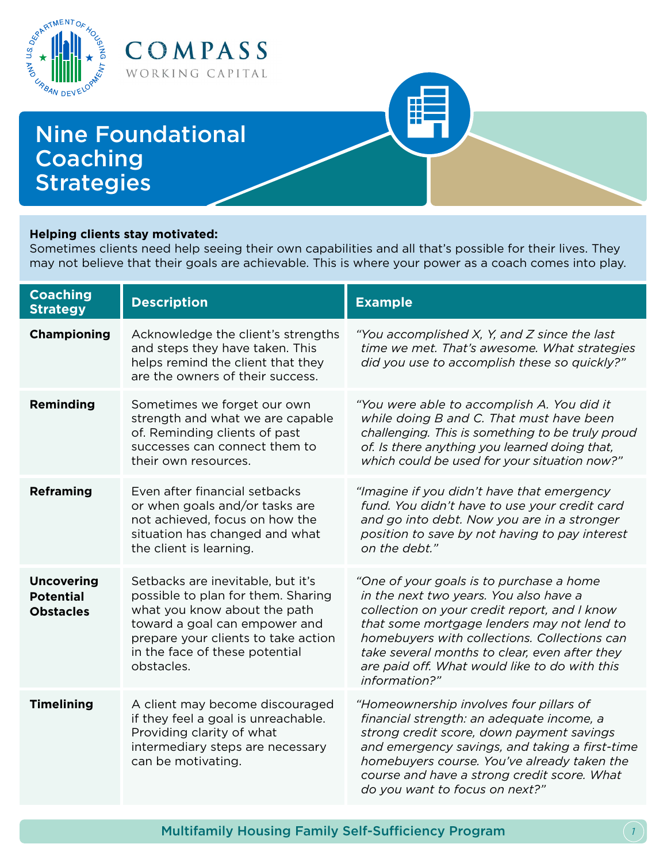

### **Helping clients stay motivated:**

Sometimes clients need help seeing their own capabilities and all that's possible for their lives. They may not believe that their goals are achievable. This is where your power as a coach comes into play.

| <b>Coaching</b><br><b>Strategy</b>                        | <b>Description</b>                                                                                                                                                                                                              | <b>Example</b>                                                                                                                                                                                                                                                                                                                                      |
|-----------------------------------------------------------|---------------------------------------------------------------------------------------------------------------------------------------------------------------------------------------------------------------------------------|-----------------------------------------------------------------------------------------------------------------------------------------------------------------------------------------------------------------------------------------------------------------------------------------------------------------------------------------------------|
| <b>Championing</b>                                        | Acknowledge the client's strengths<br>and steps they have taken. This<br>helps remind the client that they<br>are the owners of their success.                                                                                  | "You accomplished X, Y, and Z since the last<br>time we met. That's awesome. What strategies<br>did you use to accomplish these so quickly?"                                                                                                                                                                                                        |
| <b>Reminding</b>                                          | Sometimes we forget our own<br>strength and what we are capable<br>of. Reminding clients of past<br>successes can connect them to<br>their own resources.                                                                       | "You were able to accomplish A. You did it<br>while doing B and C. That must have been<br>challenging. This is something to be truly proud<br>of. Is there anything you learned doing that,<br>which could be used for your situation now?"                                                                                                         |
| <b>Reframing</b>                                          | Even after financial setbacks<br>or when goals and/or tasks are<br>not achieved, focus on how the<br>situation has changed and what<br>the client is learning.                                                                  | "Imagine if you didn't have that emergency<br>fund. You didn't have to use your credit card<br>and go into debt. Now you are in a stronger<br>position to save by not having to pay interest<br>on the debt."                                                                                                                                       |
| <b>Uncovering</b><br><b>Potential</b><br><b>Obstacles</b> | Setbacks are inevitable, but it's<br>possible to plan for them. Sharing<br>what you know about the path<br>toward a goal can empower and<br>prepare your clients to take action<br>in the face of these potential<br>obstacles. | "One of your goals is to purchase a home<br>in the next two years. You also have a<br>collection on your credit report, and I know<br>that some mortgage lenders may not lend to<br>homebuyers with collections. Collections can<br>take several months to clear, even after they<br>are paid off. What would like to do with this<br>information?" |
| <b>Timelining</b>                                         | A client may become discouraged<br>if they feel a goal is unreachable.<br>Providing clarity of what<br>intermediary steps are necessary<br>can be motivating.                                                                   | "Homeownership involves four pillars of<br>financial strength: an adequate income, a<br>strong credit score, down payment savings<br>and emergency savings, and taking a first-time<br>homebuyers course. You've already taken the<br>course and have a strong credit score. What<br>do you want to focus on next?"                                 |